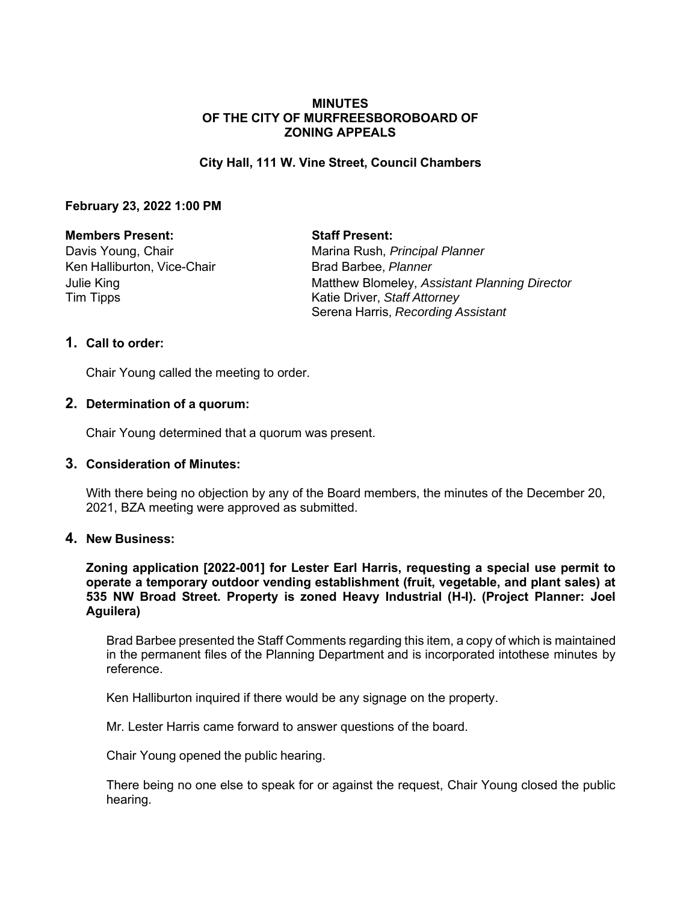## **MINUTES OF THE CITY OF MURFREESBOROBOARD OF ZONING APPEALS**

## **City Hall, 111 W. Vine Street, Council Chambers**

## **February 23, 2022 1:00 PM**

## **Members Present: Staff Present:**

Ken Halliburton, Vice-Chair **Brad Barbee**, *Planner* Tim Tipps **Katie Driver**, *Staff Attorney* 

Davis Young, Chair **Marina Rush,** *Principal Planner* Marina Rush, *Principal Planner* Julie King Matthew Blomeley, *Assistant Planning Director* Serena Harris, *Recording Assistant*

## **1. Call to order:**

Chair Young called the meeting to order.

## **2. Determination of a quorum:**

Chair Young determined that a quorum was present.

# **3. Consideration of Minutes:**

With there being no objection by any of the Board members, the minutes of the December 20, 2021, BZA meeting were approved as submitted.

# **4. New Business:**

**Zoning application [2022-001] for Lester Earl Harris, requesting a special use permit to operate a temporary outdoor vending establishment (fruit, vegetable, and plant sales) at 535 NW Broad Street. Property is zoned Heavy Industrial (H-I). (Project Planner: Joel Aguilera)**

Brad Barbee presented the Staff Comments regarding this item, a copy of which is maintained in the permanent files of the Planning Department and is incorporated intothese minutes by reference.

Ken Halliburton inquired if there would be any signage on the property.

Mr. Lester Harris came forward to answer questions of the board.

Chair Young opened the public hearing.

There being no one else to speak for or against the request, Chair Young closed the public hearing.